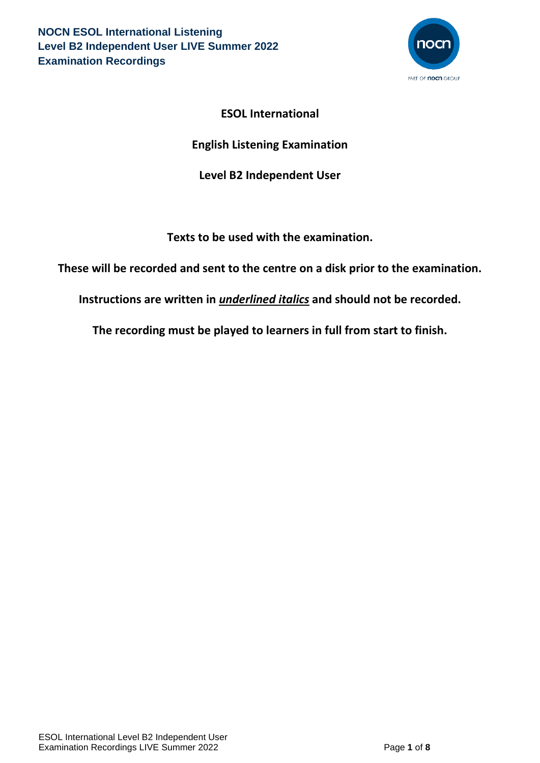

# **ESOL International**

# **English Listening Examination**

# **Level B2 Independent User**

**Texts to be used with the examination.**

**These will be recorded and sent to the centre on a disk prior to the examination.**

**Instructions are written in** *underlined italics* **and should not be recorded.**

**The recording must be played to learners in full from start to finish.**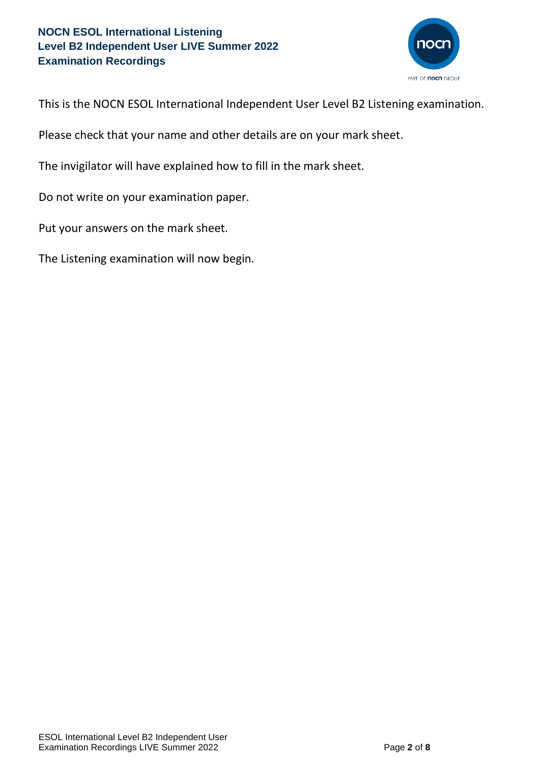

This is the NOCN ESOL International Independent User Level B2 Listening examination.

Please check that your name and other details are on your mark sheet.

The invigilator will have explained how to fill in the mark sheet.

Do not write on your examination paper.

Put your answers on the mark sheet.

The Listening examination will now begin.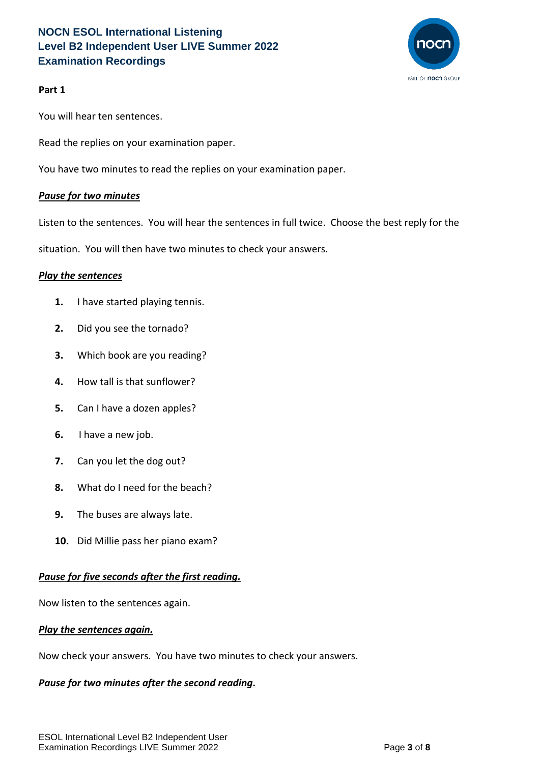

## **Part 1**

You will hear ten sentences.

Read the replies on your examination paper.

You have two minutes to read the replies on your examination paper.

### *Pause for two minutes*

Listen to the sentences. You will hear the sentences in full twice. Choose the best reply for the

situation. You will then have two minutes to check your answers.

#### *Play the sentences*

- **1.** I have started playing tennis.
- **2.** Did you see the tornado?
- **3.** Which book are you reading?
- **4.** How tall is that sunflower?
- **5.** Can I have a dozen apples?
- **6.** I have a new job.
- **7.** Can you let the dog out?
- **8.** What do I need for the beach?
- **9.** The buses are always late.
- **10.** Did Millie pass her piano exam?

## *Pause for five seconds after the first reading.*

Now listen to the sentences again.

#### *Play the sentences again.*

Now check your answers. You have two minutes to check your answers.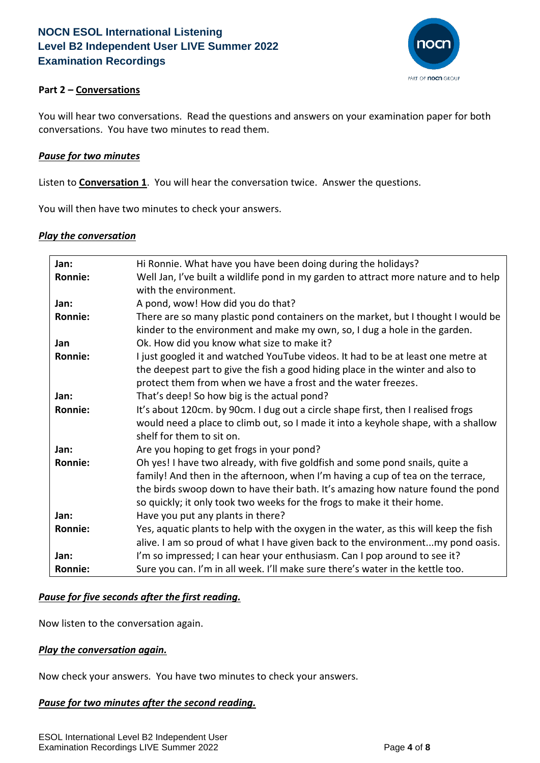

## **Part 2 – Conversations**

You will hear two conversations. Read the questions and answers on your examination paper for both conversations. You have two minutes to read them.

#### *Pause for two minutes*

Listen to **Conversation 1**. You will hear the conversation twice. Answer the questions.

You will then have two minutes to check your answers.

### *Play the conversation*

| Jan:           | Hi Ronnie. What have you have been doing during the holidays?                        |
|----------------|--------------------------------------------------------------------------------------|
| <b>Ronnie:</b> | Well Jan, I've built a wildlife pond in my garden to attract more nature and to help |
|                | with the environment.                                                                |
| Jan:           | A pond, wow! How did you do that?                                                    |
| <b>Ronnie:</b> | There are so many plastic pond containers on the market, but I thought I would be    |
|                | kinder to the environment and make my own, so, I dug a hole in the garden.           |
| Jan            | Ok. How did you know what size to make it?                                           |
| <b>Ronnie:</b> | I just googled it and watched YouTube videos. It had to be at least one metre at     |
|                | the deepest part to give the fish a good hiding place in the winter and also to      |
|                | protect them from when we have a frost and the water freezes.                        |
| Jan:           | That's deep! So how big is the actual pond?                                          |
| <b>Ronnie:</b> | It's about 120cm. by 90cm. I dug out a circle shape first, then I realised frogs     |
|                | would need a place to climb out, so I made it into a keyhole shape, with a shallow   |
|                | shelf for them to sit on.                                                            |
| Jan:           | Are you hoping to get frogs in your pond?                                            |
| Ronnie:        | Oh yes! I have two already, with five goldfish and some pond snails, quite a         |
|                | family! And then in the afternoon, when I'm having a cup of tea on the terrace,      |
|                | the birds swoop down to have their bath. It's amazing how nature found the pond      |
|                | so quickly; it only took two weeks for the frogs to make it their home.              |
| Jan:           | Have you put any plants in there?                                                    |
| <b>Ronnie:</b> | Yes, aquatic plants to help with the oxygen in the water, as this will keep the fish |
|                | alive. I am so proud of what I have given back to the environmentmy pond oasis.      |
| Jan:           | I'm so impressed; I can hear your enthusiasm. Can I pop around to see it?            |
| Ronnie:        | Sure you can. I'm in all week. I'll make sure there's water in the kettle too.       |

#### *Pause for five seconds after the first reading.*

Now listen to the conversation again.

#### *Play the conversation again.*

Now check your answers. You have two minutes to check your answers.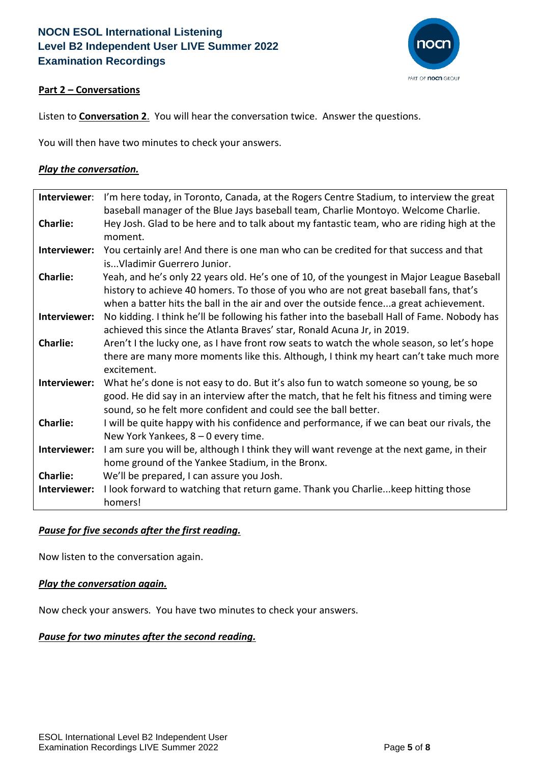

## **Part 2 – Conversations**

Listen to **Conversation 2**. You will hear the conversation twice. Answer the questions.

You will then have two minutes to check your answers.

### *Play the conversation.*

| Interviewer:    | I'm here today, in Toronto, Canada, at the Rogers Centre Stadium, to interview the great     |
|-----------------|----------------------------------------------------------------------------------------------|
|                 | baseball manager of the Blue Jays baseball team, Charlie Montoyo. Welcome Charlie.           |
| <b>Charlie:</b> | Hey Josh. Glad to be here and to talk about my fantastic team, who are riding high at the    |
|                 | moment.                                                                                      |
| Interviewer:    | You certainly are! And there is one man who can be credited for that success and that        |
|                 | is Vladimir Guerrero Junior.                                                                 |
| <b>Charlie:</b> | Yeah, and he's only 22 years old. He's one of 10, of the youngest in Major League Baseball   |
|                 | history to achieve 40 homers. To those of you who are not great baseball fans, that's        |
|                 | when a batter hits the ball in the air and over the outside fencea great achievement.        |
| Interviewer:    | No kidding. I think he'll be following his father into the baseball Hall of Fame. Nobody has |
|                 | achieved this since the Atlanta Braves' star, Ronald Acuna Jr, in 2019.                      |
| <b>Charlie:</b> | Aren't I the lucky one, as I have front row seats to watch the whole season, so let's hope   |
|                 | there are many more moments like this. Although, I think my heart can't take much more       |
|                 | excitement.                                                                                  |
| Interviewer:    | What he's done is not easy to do. But it's also fun to watch someone so young, be so         |
|                 | good. He did say in an interview after the match, that he felt his fitness and timing were   |
|                 | sound, so he felt more confident and could see the ball better.                              |
| <b>Charlie:</b> | I will be quite happy with his confidence and performance, if we can beat our rivals, the    |
|                 | New York Yankees, $8 - 0$ every time.                                                        |
| Interviewer:    | I am sure you will be, although I think they will want revenge at the next game, in their    |
|                 | home ground of the Yankee Stadium, in the Bronx.                                             |
| <b>Charlie:</b> | We'll be prepared, I can assure you Josh.                                                    |
| Interviewer:    | I look forward to watching that return game. Thank you Charlie keep hitting those            |
|                 | homers!                                                                                      |

## *Pause for five seconds after the first reading.*

Now listen to the conversation again.

#### *Play the conversation again.*

Now check your answers. You have two minutes to check your answers.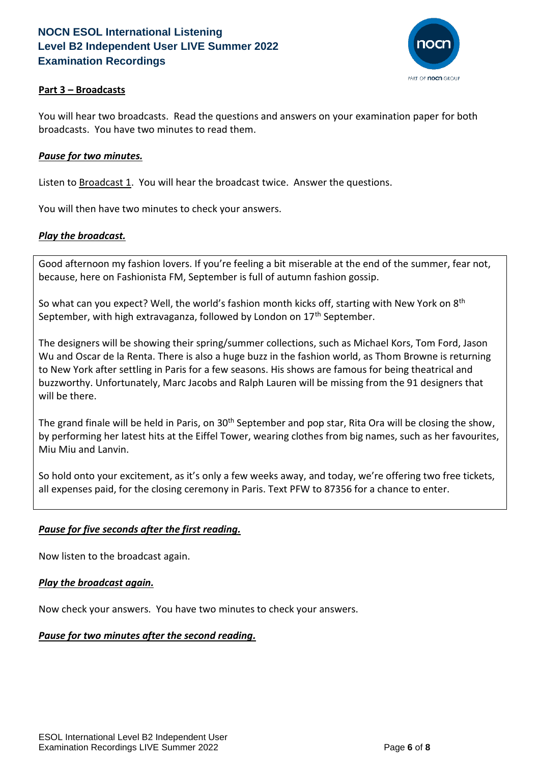

## **Part 3 – Broadcasts**

You will hear two broadcasts. Read the questions and answers on your examination paper for both broadcasts. You have two minutes to read them.

### *Pause for two minutes.*

Listen to **Broadcast 1.** You will hear the broadcast twice. Answer the questions.

You will then have two minutes to check your answers.

### *Play the broadcast.*

Good afternoon my fashion lovers. If you're feeling a bit miserable at the end of the summer, fear not, because, here on Fashionista FM, September is full of autumn fashion gossip.

So what can you expect? Well, the world's fashion month kicks off, starting with New York on  $8<sup>th</sup>$ September, with high extravaganza, followed by London on 17<sup>th</sup> September.

The designers will be showing their spring/summer collections, such as Michael Kors, Tom Ford, Jason Wu and Oscar de la Renta. There is also a huge buzz in the fashion world, as Thom Browne is returning to New York after settling in Paris for a few seasons. His shows are famous for being theatrical and buzzworthy. Unfortunately, Marc Jacobs and Ralph Lauren will be missing from the 91 designers that will be there.

The grand finale will be held in Paris, on  $30<sup>th</sup>$  September and pop star, Rita Ora will be closing the show, by performing her latest hits at the Eiffel Tower, wearing clothes from big names, such as her favourites, Miu Miu and Lanvin.

So hold onto your excitement, as it's only a few weeks away, and today, we're offering two free tickets, all expenses paid, for the closing ceremony in Paris. Text PFW to 87356 for a chance to enter.

## *Pause for five seconds after the first reading.*

Now listen to the broadcast again.

#### *Play the broadcast again.*

Now check your answers. You have two minutes to check your answers.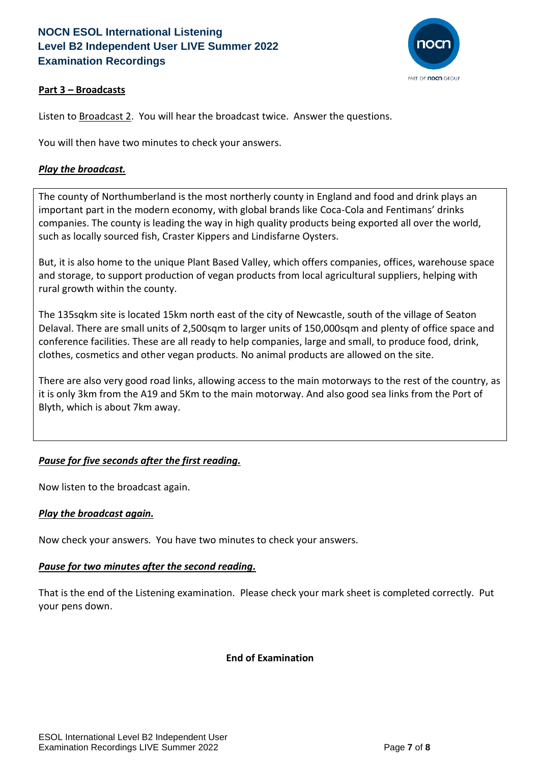

## **Part 3 – Broadcasts**

Listen to Broadcast 2. You will hear the broadcast twice. Answer the questions.

You will then have two minutes to check your answers.

### *Play the broadcast.*

The county of Northumberland is the most northerly county in England and food and drink plays an important part in the modern economy, with global brands like Coca-Cola and Fentimans' drinks companies. The county is leading the way in high quality products being exported all over the world, such as locally sourced fish, Craster Kippers and Lindisfarne Oysters.

But, it is also home to the unique Plant Based Valley, which offers companies, offices, warehouse space and storage, to support production of vegan products from local agricultural suppliers, helping with rural growth within the county.

The 135sqkm site is located 15km north east of the city of Newcastle, south of the village of Seaton Delaval. There are small units of 2,500sqm to larger units of 150,000sqm and plenty of office space and conference facilities. These are all ready to help companies, large and small, to produce food, drink, clothes, cosmetics and other vegan products. No animal products are allowed on the site.

There are also very good road links, allowing access to the main motorways to the rest of the country, as it is only 3km from the A19 and 5Km to the main motorway. And also good sea links from the Port of Blyth, which is about 7km away.

## *Pause for five seconds after the first reading.*

Now listen to the broadcast again.

#### *Play the broadcast again.*

Now check your answers. You have two minutes to check your answers.

#### *Pause for two minutes after the second reading.*

That is the end of the Listening examination. Please check your mark sheet is completed correctly. Put your pens down.

#### **End of Examination**